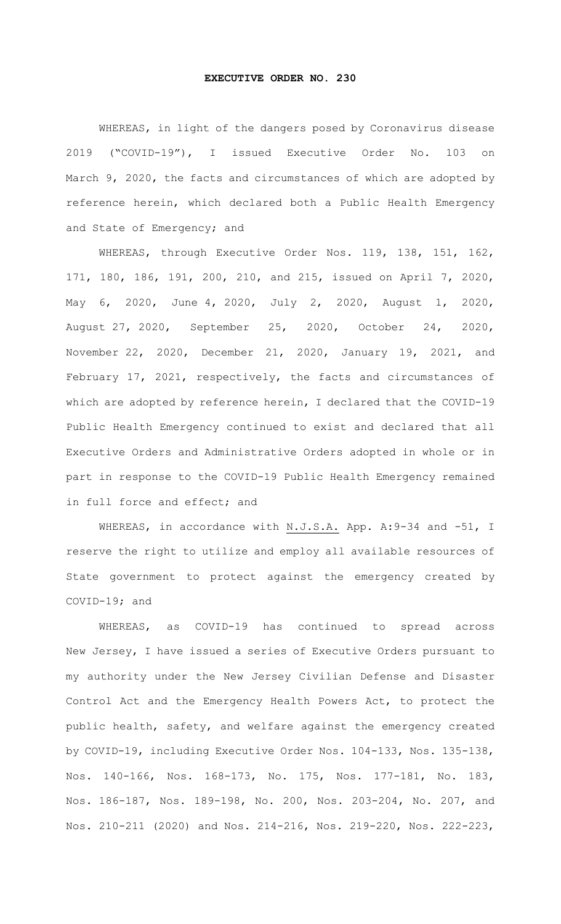## **EXECUTIVE ORDER NO. 230**

WHEREAS, in light of the dangers posed by Coronavirus disease 2019 ("COVID-19"), I issued Executive Order No. 103 on March 9, 2020, the facts and circumstances of which are adopted by reference herein, which declared both a Public Health Emergency and State of Emergency; and

WHEREAS, through Executive Order Nos. 119, 138, 151, 162, 171, 180, 186, 191, 200, 210, and 215, issued on April 7, 2020, May 6, 2020, June 4, 2020, July 2, 2020, August 1, 2020, August 27, 2020, September 25, 2020, October 24, 2020, November 22, 2020, December 21, 2020, January 19, 2021, and February 17, 2021, respectively, the facts and circumstances of which are adopted by reference herein, I declared that the COVID-19 Public Health Emergency continued to exist and declared that all Executive Orders and Administrative Orders adopted in whole or in part in response to the COVID-19 Public Health Emergency remained in full force and effect; and

WHEREAS, in accordance with N.J.S.A. App. A: 9-34 and -51, I reserve the right to utilize and employ all available resources of State government to protect against the emergency created by COVID-19; and

WHEREAS, as COVID-19 has continued to spread across New Jersey, I have issued a series of Executive Orders pursuant to my authority under the New Jersey Civilian Defense and Disaster Control Act and the Emergency Health Powers Act, to protect the public health, safety, and welfare against the emergency created by COVID-19, including Executive Order Nos. 104-133, Nos. 135-138, Nos. 140-166, Nos. 168-173, No. 175, Nos. 177-181, No. 183, Nos. 186-187, Nos. 189-198, No. 200, Nos. 203-204, No. 207, and Nos. 210-211 (2020) and Nos. 214-216, Nos. 219-220, Nos. 222-223,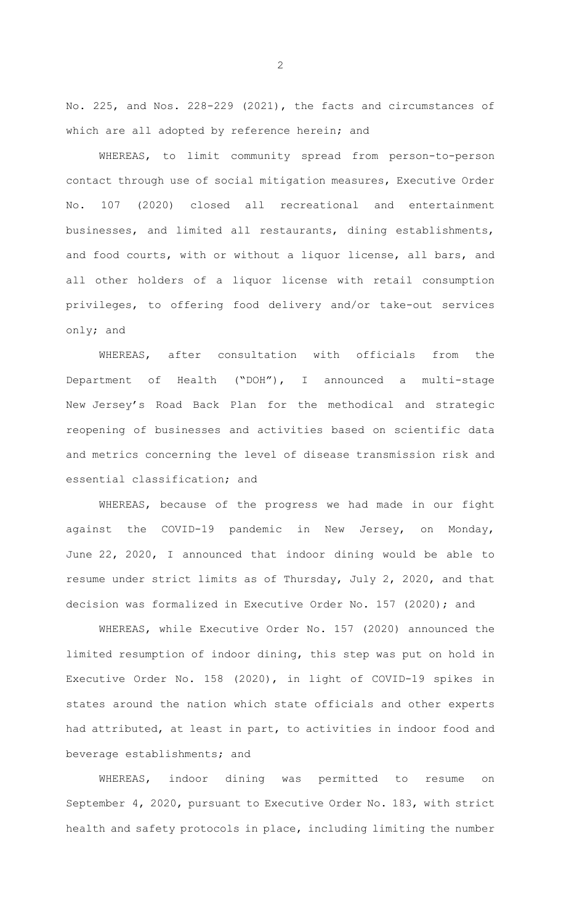No. 225, and Nos. 228-229 (2021), the facts and circumstances of which are all adopted by reference herein; and

WHEREAS, to limit community spread from person-to-person contact through use of social mitigation measures, Executive Order No. 107 (2020) closed all recreational and entertainment businesses, and limited all restaurants, dining establishments, and food courts, with or without a liquor license, all bars, and all other holders of a liquor license with retail consumption privileges, to offering food delivery and/or take-out services only; and

WHEREAS, after consultation with officials from the Department of Health ("DOH"), I announced a multi-stage New Jersey's Road Back Plan for the methodical and strategic reopening of businesses and activities based on scientific data and metrics concerning the level of disease transmission risk and essential classification; and

WHEREAS, because of the progress we had made in our fight against the COVID-19 pandemic in New Jersey, on Monday, June 22, 2020, I announced that indoor dining would be able to resume under strict limits as of Thursday, July 2, 2020, and that decision was formalized in Executive Order No. 157 (2020); and

WHEREAS, while Executive Order No. 157 (2020) announced the limited resumption of indoor dining, this step was put on hold in Executive Order No. 158 (2020), in light of COVID-19 spikes in states around the nation which state officials and other experts had attributed, at least in part, to activities in indoor food and beverage establishments; and

WHEREAS, indoor dining was permitted to resume on September 4, 2020, pursuant to Executive Order No. 183, with strict health and safety protocols in place, including limiting the number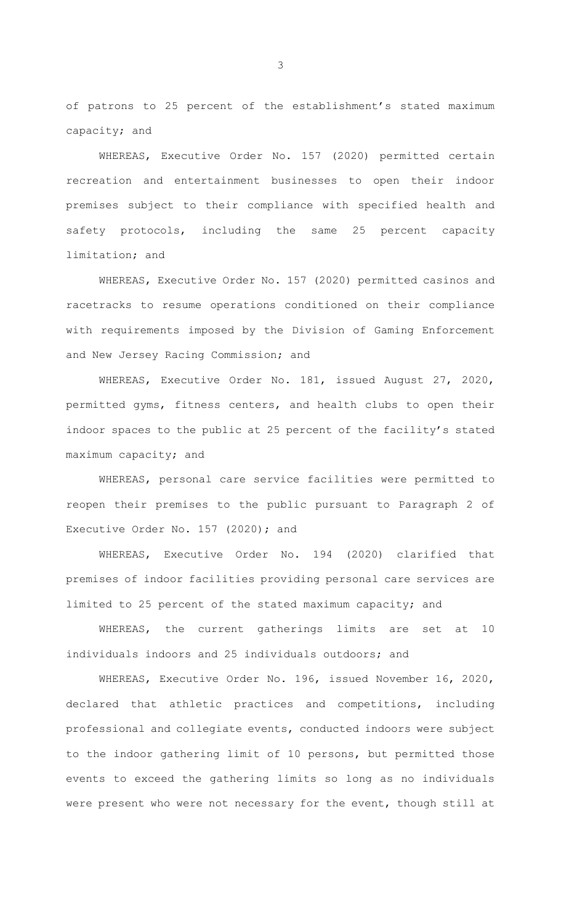of patrons to 25 percent of the establishment's stated maximum capacity; and

WHEREAS, Executive Order No. 157 (2020) permitted certain recreation and entertainment businesses to open their indoor premises subject to their compliance with specified health and safety protocols, including the same 25 percent capacity limitation; and

WHEREAS, Executive Order No. 157 (2020) permitted casinos and racetracks to resume operations conditioned on their compliance with requirements imposed by the Division of Gaming Enforcement and New Jersey Racing Commission; and

WHEREAS, Executive Order No. 181, issued August 27, 2020, permitted gyms, fitness centers, and health clubs to open their indoor spaces to the public at 25 percent of the facility's stated maximum capacity; and

WHEREAS, personal care service facilities were permitted to reopen their premises to the public pursuant to Paragraph 2 of Executive Order No. 157 (2020); and

WHEREAS, Executive Order No. 194 (2020) clarified that premises of indoor facilities providing personal care services are limited to 25 percent of the stated maximum capacity; and

WHEREAS, the current gatherings limits are set at 10 individuals indoors and 25 individuals outdoors; and

WHEREAS, Executive Order No. 196, issued November 16, 2020, declared that athletic practices and competitions, including professional and collegiate events, conducted indoors were subject to the indoor gathering limit of 10 persons, but permitted those events to exceed the gathering limits so long as no individuals were present who were not necessary for the event, though still at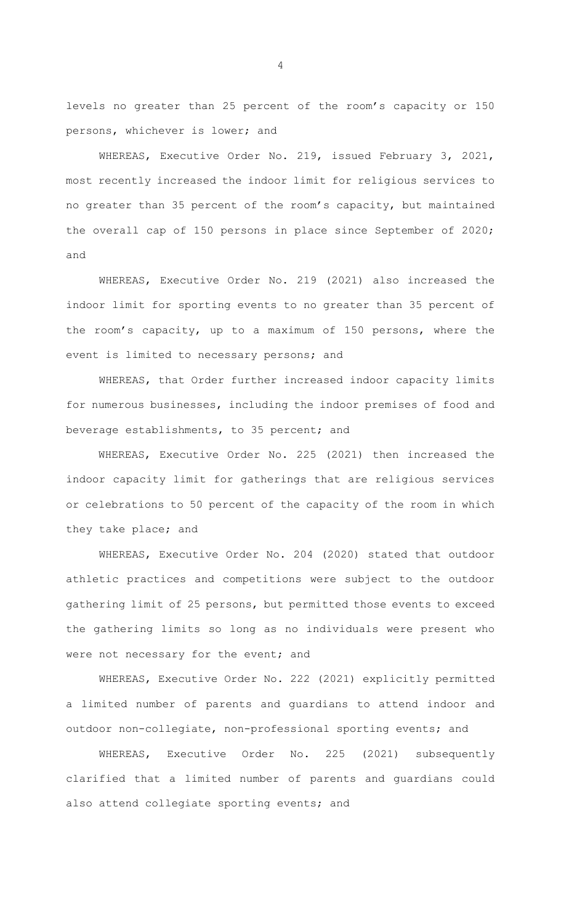levels no greater than 25 percent of the room's capacity or 150 persons, whichever is lower; and

WHEREAS, Executive Order No. 219, issued February 3, 2021, most recently increased the indoor limit for religious services to no greater than 35 percent of the room's capacity, but maintained the overall cap of 150 persons in place since September of 2020; and

WHEREAS, Executive Order No. 219 (2021) also increased the indoor limit for sporting events to no greater than 35 percent of the room's capacity, up to a maximum of 150 persons, where the event is limited to necessary persons; and

WHEREAS, that Order further increased indoor capacity limits for numerous businesses, including the indoor premises of food and beverage establishments, to 35 percent; and

WHEREAS, Executive Order No. 225 (2021) then increased the indoor capacity limit for gatherings that are religious services or celebrations to 50 percent of the capacity of the room in which they take place; and

WHEREAS, Executive Order No. 204 (2020) stated that outdoor athletic practices and competitions were subject to the outdoor gathering limit of 25 persons, but permitted those events to exceed the gathering limits so long as no individuals were present who were not necessary for the event; and

WHEREAS, Executive Order No. 222 (2021) explicitly permitted a limited number of parents and guardians to attend indoor and outdoor non-collegiate, non-professional sporting events; and

WHEREAS, Executive Order No. 225 (2021) subsequently clarified that a limited number of parents and guardians could also attend collegiate sporting events; and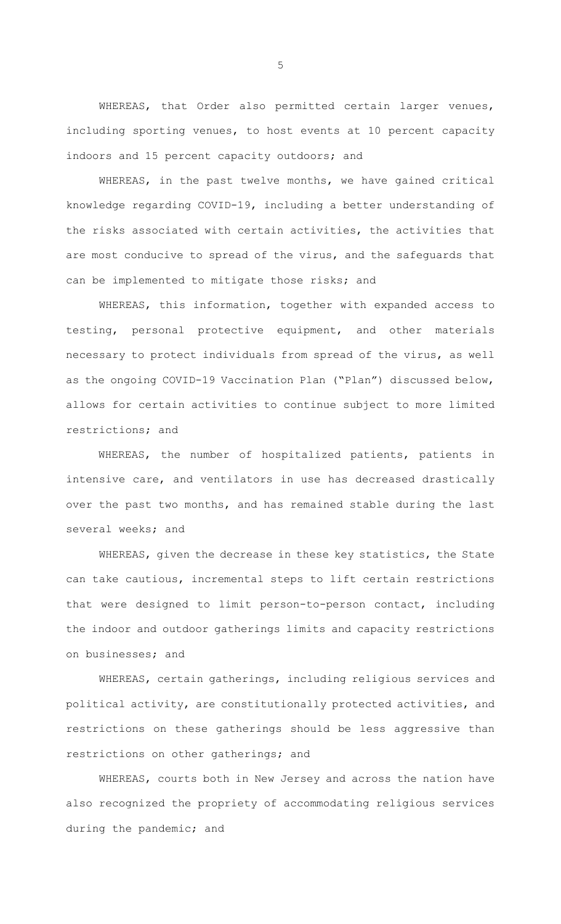WHEREAS, that Order also permitted certain larger venues, including sporting venues, to host events at 10 percent capacity indoors and 15 percent capacity outdoors; and

WHEREAS, in the past twelve months, we have gained critical knowledge regarding COVID-19, including a better understanding of the risks associated with certain activities, the activities that are most conducive to spread of the virus, and the safeguards that can be implemented to mitigate those risks; and

WHEREAS, this information, together with expanded access to testing, personal protective equipment, and other materials necessary to protect individuals from spread of the virus, as well as the ongoing COVID-19 Vaccination Plan ("Plan") discussed below, allows for certain activities to continue subject to more limited restrictions; and

WHEREAS, the number of hospitalized patients, patients in intensive care, and ventilators in use has decreased drastically over the past two months, and has remained stable during the last several weeks; and

WHEREAS, given the decrease in these key statistics, the State can take cautious, incremental steps to lift certain restrictions that were designed to limit person-to-person contact, including the indoor and outdoor gatherings limits and capacity restrictions on businesses; and

WHEREAS, certain gatherings, including religious services and political activity, are constitutionally protected activities, and restrictions on these gatherings should be less aggressive than restrictions on other gatherings; and

WHEREAS, courts both in New Jersey and across the nation have also recognized the propriety of accommodating religious services during the pandemic; and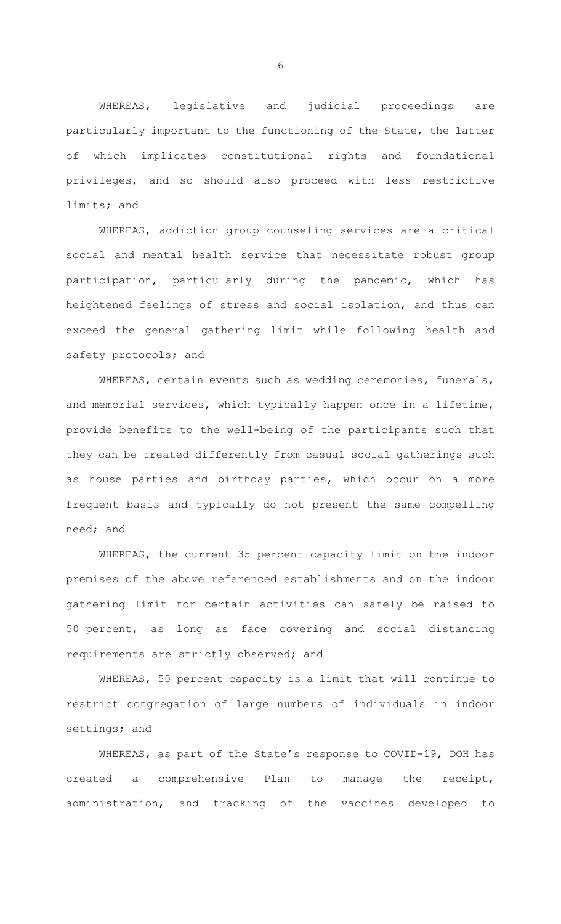WHEREAS, legislative and judicial proceedings are particularly important to the functioning of the State, the latter of which implicates constitutional rights and foundational privileges, and so should also proceed with less restrictive limits; and

WHEREAS, addiction group counseling services are a critical social and mental health service that necessitate robust group participation, particularly during the pandemic, which has heightened feelings of stress and social isolation, and thus can exceed the general gathering limit while following health and safety protocols; and

WHEREAS, certain events such as wedding ceremonies, funerals, and memorial services, which typically happen once in a lifetime, provide benefits to the well-being of the participants such that they can be treated differently from casual social gatherings such as house parties and birthday parties, which occur on a more frequent basis and typically do not present the same compelling need; and

WHEREAS, the current 35 percent capacity limit on the indoor premises of the above referenced establishments and on the indoor gathering limit for certain activities can safely be raised to 50 percent, as long as face covering and social distancing requirements are strictly observed; and

WHEREAS, 50 percent capacity is a limit that will continue to restrict congregation of large numbers of individuals in indoor settings; and

WHEREAS, as part of the State's response to COVID-19, DOH has created a comprehensive Plan to manage the receipt, administration, and tracking of the vaccines developed to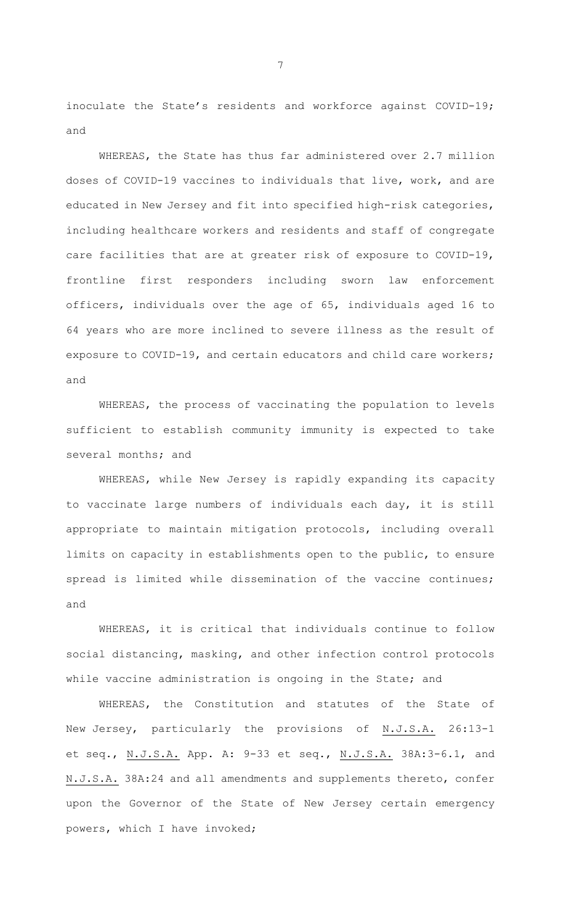inoculate the State's residents and workforce against COVID-19; and

WHEREAS, the State has thus far administered over 2.7 million doses of COVID-19 vaccines to individuals that live, work, and are educated in New Jersey and fit into specified high-risk categories, including healthcare workers and residents and staff of congregate care facilities that are at greater risk of exposure to COVID-19, frontline first responders including sworn law enforcement officers, individuals over the age of 65, individuals aged 16 to 64 years who are more inclined to severe illness as the result of exposure to COVID-19, and certain educators and child care workers; and

WHEREAS, the process of vaccinating the population to levels sufficient to establish community immunity is expected to take several months; and

WHEREAS, while New Jersey is rapidly expanding its capacity to vaccinate large numbers of individuals each day, it is still appropriate to maintain mitigation protocols, including overall limits on capacity in establishments open to the public, to ensure spread is limited while dissemination of the vaccine continues; and

WHEREAS, it is critical that individuals continue to follow social distancing, masking, and other infection control protocols while vaccine administration is ongoing in the State; and

WHEREAS, the Constitution and statutes of the State of New Jersey, particularly the provisions of N.J.S.A. 26:13-1 et seq., N.J.S.A. App. A: 9-33 et seq., N.J.S.A. 38A:3-6.1, and N.J.S.A. 38A:24 and all amendments and supplements thereto, confer upon the Governor of the State of New Jersey certain emergency powers, which I have invoked;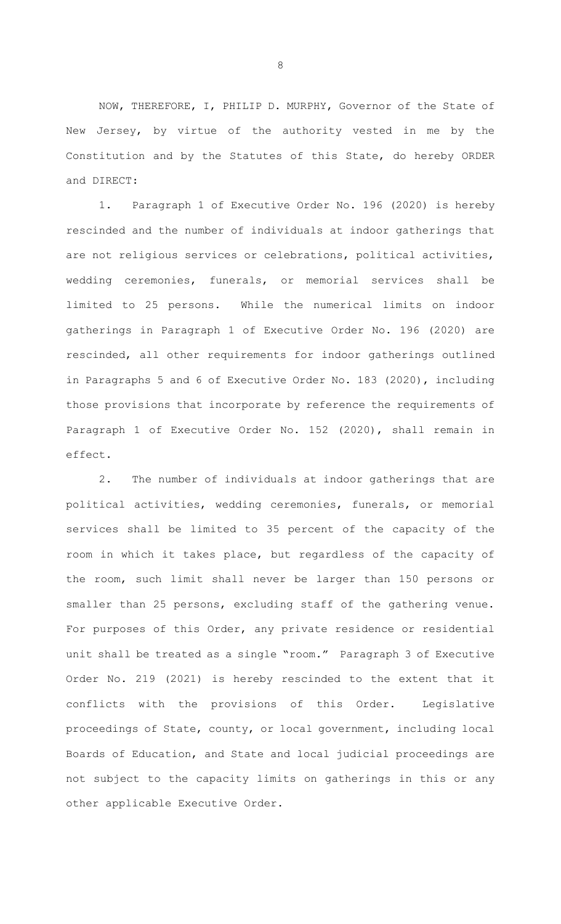NOW, THEREFORE, I, PHILIP D. MURPHY, Governor of the State of New Jersey, by virtue of the authority vested in me by the Constitution and by the Statutes of this State, do hereby ORDER and DIRECT:

1. Paragraph 1 of Executive Order No. 196 (2020) is hereby rescinded and the number of individuals at indoor gatherings that are not religious services or celebrations, political activities, wedding ceremonies, funerals, or memorial services shall be limited to 25 persons. While the numerical limits on indoor gatherings in Paragraph 1 of Executive Order No. 196 (2020) are rescinded, all other requirements for indoor gatherings outlined in Paragraphs 5 and 6 of Executive Order No. 183 (2020), including those provisions that incorporate by reference the requirements of Paragraph 1 of Executive Order No. 152 (2020), shall remain in effect.

2. The number of individuals at indoor gatherings that are political activities, wedding ceremonies, funerals, or memorial services shall be limited to 35 percent of the capacity of the room in which it takes place, but regardless of the capacity of the room, such limit shall never be larger than 150 persons or smaller than 25 persons, excluding staff of the gathering venue. For purposes of this Order, any private residence or residential unit shall be treated as a single "room." Paragraph 3 of Executive Order No. 219 (2021) is hereby rescinded to the extent that it conflicts with the provisions of this Order. Legislative proceedings of State, county, or local government, including local Boards of Education, and State and local judicial proceedings are not subject to the capacity limits on gatherings in this or any other applicable Executive Order.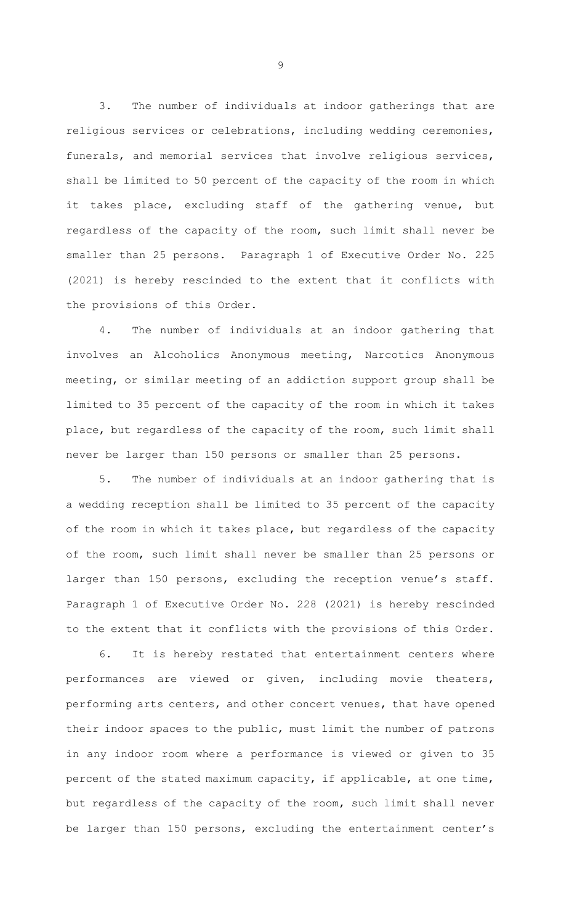3. The number of individuals at indoor gatherings that are religious services or celebrations, including wedding ceremonies, funerals, and memorial services that involve religious services, shall be limited to 50 percent of the capacity of the room in which it takes place, excluding staff of the gathering venue, but regardless of the capacity of the room, such limit shall never be smaller than 25 persons. Paragraph 1 of Executive Order No. 225 (2021) is hereby rescinded to the extent that it conflicts with the provisions of this Order.

4. The number of individuals at an indoor gathering that involves an Alcoholics Anonymous meeting, Narcotics Anonymous meeting, or similar meeting of an addiction support group shall be limited to 35 percent of the capacity of the room in which it takes place, but regardless of the capacity of the room, such limit shall never be larger than 150 persons or smaller than 25 persons.

5. The number of individuals at an indoor gathering that is a wedding reception shall be limited to 35 percent of the capacity of the room in which it takes place, but regardless of the capacity of the room, such limit shall never be smaller than 25 persons or larger than 150 persons, excluding the reception venue's staff. Paragraph 1 of Executive Order No. 228 (2021) is hereby rescinded to the extent that it conflicts with the provisions of this Order.

6. It is hereby restated that entertainment centers where performances are viewed or given, including movie theaters, performing arts centers, and other concert venues, that have opened their indoor spaces to the public, must limit the number of patrons in any indoor room where a performance is viewed or given to 35 percent of the stated maximum capacity, if applicable, at one time, but regardless of the capacity of the room, such limit shall never be larger than 150 persons, excluding the entertainment center's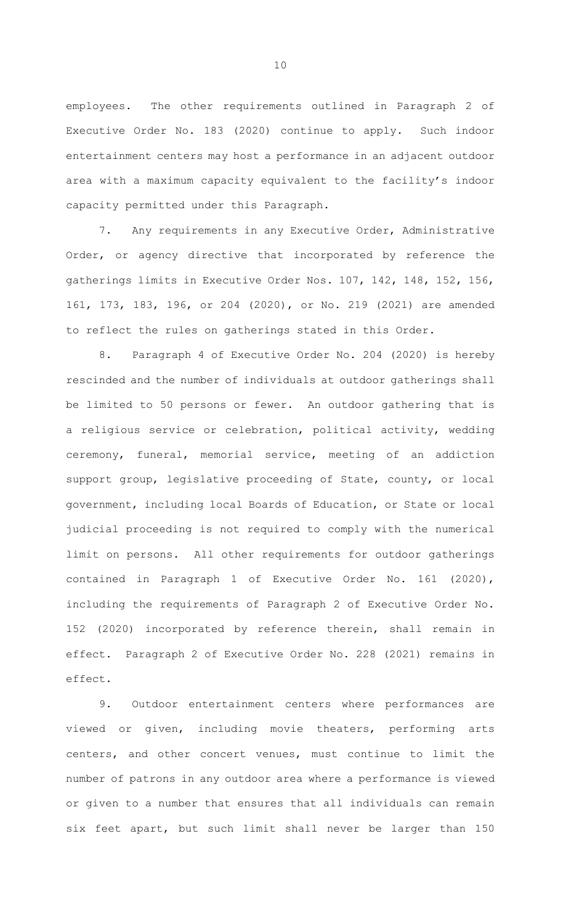employees. The other requirements outlined in Paragraph 2 of Executive Order No. 183 (2020) continue to apply. Such indoor entertainment centers may host a performance in an adjacent outdoor area with a maximum capacity equivalent to the facility's indoor capacity permitted under this Paragraph.

7. Any requirements in any Executive Order, Administrative Order, or agency directive that incorporated by reference the gatherings limits in Executive Order Nos. 107, 142, 148, 152, 156, 161, 173, 183, 196, or 204 (2020), or No. 219 (2021) are amended to reflect the rules on gatherings stated in this Order.

8. Paragraph 4 of Executive Order No. 204 (2020) is hereby rescinded and the number of individuals at outdoor gatherings shall be limited to 50 persons or fewer. An outdoor gathering that is a religious service or celebration, political activity, wedding ceremony, funeral, memorial service, meeting of an addiction support group, legislative proceeding of State, county, or local government, including local Boards of Education, or State or local judicial proceeding is not required to comply with the numerical limit on persons. All other requirements for outdoor gatherings contained in Paragraph 1 of Executive Order No. 161 (2020), including the requirements of Paragraph 2 of Executive Order No. 152 (2020) incorporated by reference therein, shall remain in effect. Paragraph 2 of Executive Order No. 228 (2021) remains in effect.

9. Outdoor entertainment centers where performances are viewed or given, including movie theaters, performing arts centers, and other concert venues, must continue to limit the number of patrons in any outdoor area where a performance is viewed or given to a number that ensures that all individuals can remain six feet apart, but such limit shall never be larger than 150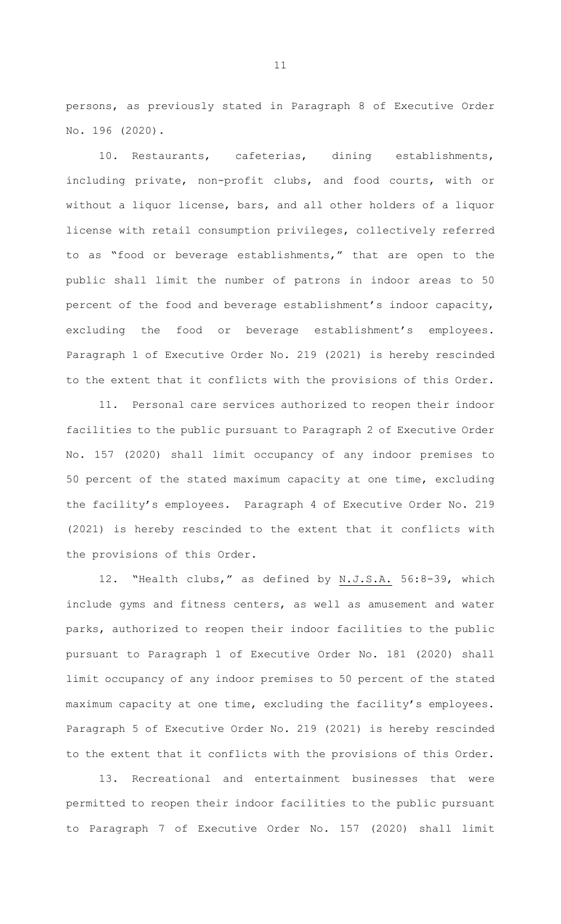persons, as previously stated in Paragraph 8 of Executive Order No. 196 (2020).

10. Restaurants, cafeterias, dining establishments, including private, non-profit clubs, and food courts, with or without a liquor license, bars, and all other holders of a liquor license with retail consumption privileges, collectively referred to as "food or beverage establishments," that are open to the public shall limit the number of patrons in indoor areas to 50 percent of the food and beverage establishment's indoor capacity, excluding the food or beverage establishment's employees. Paragraph 1 of Executive Order No. 219 (2021) is hereby rescinded to the extent that it conflicts with the provisions of this Order.

11. Personal care services authorized to reopen their indoor facilities to the public pursuant to Paragraph 2 of Executive Order No. 157 (2020) shall limit occupancy of any indoor premises to 50 percent of the stated maximum capacity at one time, excluding the facility's employees. Paragraph 4 of Executive Order No. 219 (2021) is hereby rescinded to the extent that it conflicts with the provisions of this Order.

12. "Health clubs," as defined by N.J.S.A. 56:8-39, which include gyms and fitness centers, as well as amusement and water parks, authorized to reopen their indoor facilities to the public pursuant to Paragraph 1 of Executive Order No. 181 (2020) shall limit occupancy of any indoor premises to 50 percent of the stated maximum capacity at one time, excluding the facility's employees. Paragraph 5 of Executive Order No. 219 (2021) is hereby rescinded to the extent that it conflicts with the provisions of this Order.

13. Recreational and entertainment businesses that were permitted to reopen their indoor facilities to the public pursuant to Paragraph 7 of Executive Order No. 157 (2020) shall limit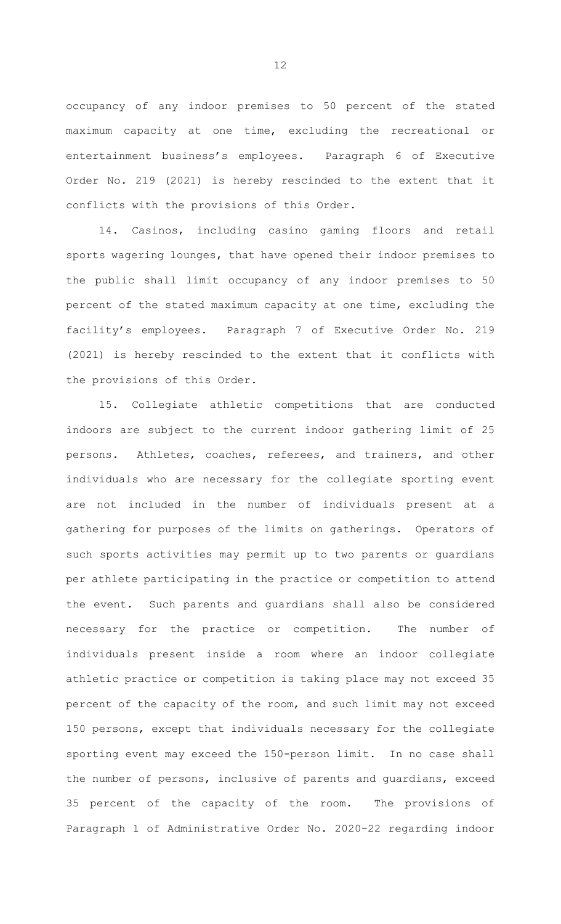occupancy of any indoor premises to 50 percent of the stated maximum capacity at one time, excluding the recreational or entertainment business's employees. Paragraph 6 of Executive Order No. 219 (2021) is hereby rescinded to the extent that it conflicts with the provisions of this Order.

14. Casinos, including casino gaming floors and retail sports wagering lounges, that have opened their indoor premises to the public shall limit occupancy of any indoor premises to 50 percent of the stated maximum capacity at one time, excluding the facility's employees. Paragraph 7 of Executive Order No. 219 (2021) is hereby rescinded to the extent that it conflicts with the provisions of this Order.

15. Collegiate athletic competitions that are conducted indoors are subject to the current indoor gathering limit of 25 persons. Athletes, coaches, referees, and trainers, and other individuals who are necessary for the collegiate sporting event are not included in the number of individuals present at a gathering for purposes of the limits on gatherings. Operators of such sports activities may permit up to two parents or guardians per athlete participating in the practice or competition to attend the event. Such parents and guardians shall also be considered necessary for the practice or competition. The number of individuals present inside a room where an indoor collegiate athletic practice or competition is taking place may not exceed 35 percent of the capacity of the room, and such limit may not exceed 150 persons, except that individuals necessary for the collegiate sporting event may exceed the 150-person limit. In no case shall the number of persons, inclusive of parents and guardians, exceed 35 percent of the capacity of the room. The provisions of Paragraph 1 of Administrative Order No. 2020-22 regarding indoor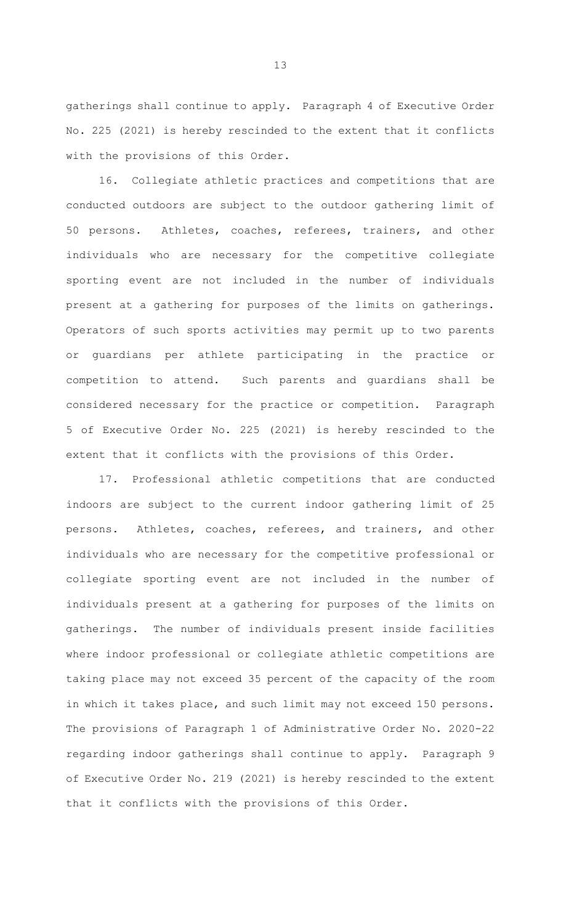gatherings shall continue to apply. Paragraph 4 of Executive Order No. 225 (2021) is hereby rescinded to the extent that it conflicts with the provisions of this Order.

16. Collegiate athletic practices and competitions that are conducted outdoors are subject to the outdoor gathering limit of 50 persons. Athletes, coaches, referees, trainers, and other individuals who are necessary for the competitive collegiate sporting event are not included in the number of individuals present at a gathering for purposes of the limits on gatherings. Operators of such sports activities may permit up to two parents or guardians per athlete participating in the practice or competition to attend. Such parents and guardians shall be considered necessary for the practice or competition. Paragraph 5 of Executive Order No. 225 (2021) is hereby rescinded to the extent that it conflicts with the provisions of this Order.

17. Professional athletic competitions that are conducted indoors are subject to the current indoor gathering limit of 25 persons. Athletes, coaches, referees, and trainers, and other individuals who are necessary for the competitive professional or collegiate sporting event are not included in the number of individuals present at a gathering for purposes of the limits on gatherings. The number of individuals present inside facilities where indoor professional or collegiate athletic competitions are taking place may not exceed 35 percent of the capacity of the room in which it takes place, and such limit may not exceed 150 persons. The provisions of Paragraph 1 of Administrative Order No. 2020-22 regarding indoor gatherings shall continue to apply. Paragraph 9 of Executive Order No. 219 (2021) is hereby rescinded to the extent that it conflicts with the provisions of this Order.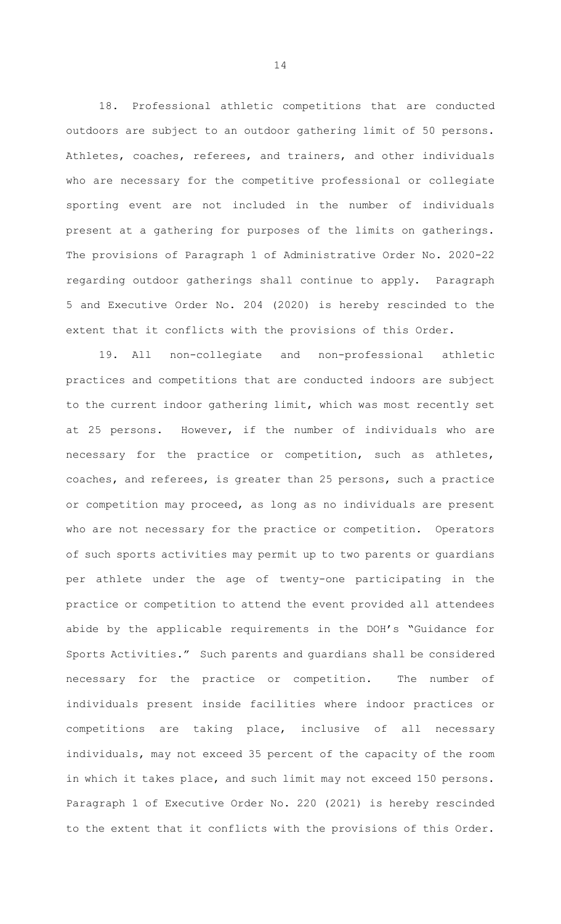18. Professional athletic competitions that are conducted outdoors are subject to an outdoor gathering limit of 50 persons. Athletes, coaches, referees, and trainers, and other individuals who are necessary for the competitive professional or collegiate sporting event are not included in the number of individuals present at a gathering for purposes of the limits on gatherings. The provisions of Paragraph 1 of Administrative Order No. 2020-22 regarding outdoor gatherings shall continue to apply. Paragraph 5 and Executive Order No. 204 (2020) is hereby rescinded to the extent that it conflicts with the provisions of this Order.

19. All non-collegiate and non-professional athletic practices and competitions that are conducted indoors are subject to the current indoor gathering limit, which was most recently set at 25 persons. However, if the number of individuals who are necessary for the practice or competition, such as athletes, coaches, and referees, is greater than 25 persons, such a practice or competition may proceed, as long as no individuals are present who are not necessary for the practice or competition. Operators of such sports activities may permit up to two parents or guardians per athlete under the age of twenty-one participating in the practice or competition to attend the event provided all attendees abide by the applicable requirements in the DOH's "Guidance for Sports Activities." Such parents and guardians shall be considered necessary for the practice or competition. The number of individuals present inside facilities where indoor practices or competitions are taking place, inclusive of all necessary individuals, may not exceed 35 percent of the capacity of the room in which it takes place, and such limit may not exceed 150 persons. Paragraph 1 of Executive Order No. 220 (2021) is hereby rescinded to the extent that it conflicts with the provisions of this Order.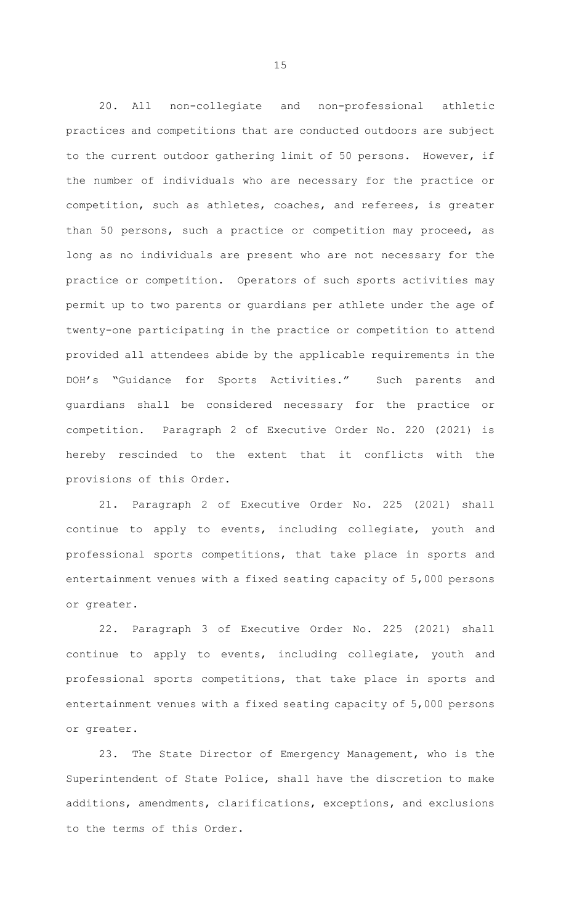20. All non-collegiate and non-professional athletic practices and competitions that are conducted outdoors are subject to the current outdoor gathering limit of 50 persons. However, if the number of individuals who are necessary for the practice or competition, such as athletes, coaches, and referees, is greater than 50 persons, such a practice or competition may proceed, as long as no individuals are present who are not necessary for the practice or competition. Operators of such sports activities may permit up to two parents or guardians per athlete under the age of twenty-one participating in the practice or competition to attend provided all attendees abide by the applicable requirements in the DOH's "Guidance for Sports Activities." Such parents and guardians shall be considered necessary for the practice or competition. Paragraph 2 of Executive Order No. 220 (2021) is hereby rescinded to the extent that it conflicts with the provisions of this Order.

21. Paragraph 2 of Executive Order No. 225 (2021) shall continue to apply to events, including collegiate, youth and professional sports competitions, that take place in sports and entertainment venues with a fixed seating capacity of 5,000 persons or greater.

22. Paragraph 3 of Executive Order No. 225 (2021) shall continue to apply to events, including collegiate, youth and professional sports competitions, that take place in sports and entertainment venues with a fixed seating capacity of 5,000 persons or greater.

23. The State Director of Emergency Management, who is the Superintendent of State Police, shall have the discretion to make additions, amendments, clarifications, exceptions, and exclusions to the terms of this Order.